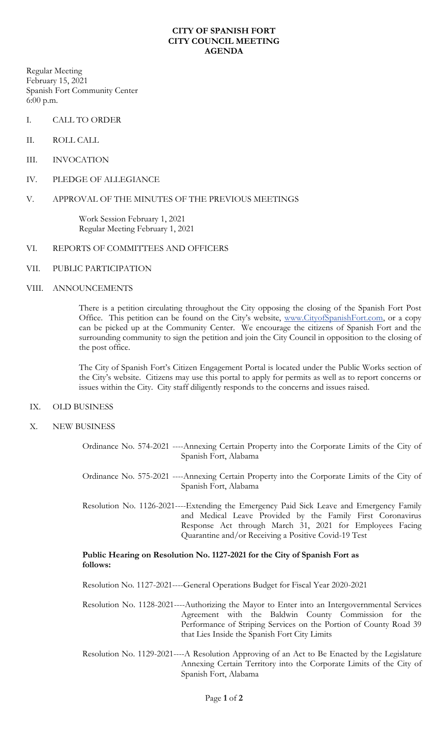## **CITY OF SPANISH FORT CITY COUNCIL MEETING AGENDA**

Regular Meeting February 15, 2021 Spanish Fort Community Center 6:00 p.m.

- I. CALL TO ORDER
- II. ROLL CALL
- III. INVOCATION
- IV. PLEDGE OF ALLEGIANCE

## V. APPROVAL OF THE MINUTES OF THE PREVIOUS MEETINGS

Work Session February 1, 2021 Regular Meeting February 1, 2021

### VI. REPORTS OF COMMITTEES AND OFFICERS

VII. PUBLIC PARTICIPATION

#### VIII. ANNOUNCEMENTS

There is a petition circulating throughout the City opposing the closing of the Spanish Fort Post Office. This petition can be found on the City's website, [www.CityofSpanishFort.com,](http://www.cityofspanishfort.com/) or a copy can be picked up at the Community Center. We encourage the citizens of Spanish Fort and the surrounding community to sign the petition and join the City Council in opposition to the closing of the post office.

The City of Spanish Fort's Citizen Engagement Portal is located under the Public Works section of the City's website. Citizens may use this portal to apply for permits as well as to report concerns or issues within the City. City staff diligently responds to the concerns and issues raised.

- IX. OLD BUSINESS
- X. NEW BUSINESS
	- Ordinance No. 574-2021 ----Annexing Certain Property into the Corporate Limits of the City of Spanish Fort, Alabama

Ordinance No. 575-2021 ----Annexing Certain Property into the Corporate Limits of the City of Spanish Fort, Alabama

Resolution No. 1126-2021----Extending the Emergency Paid Sick Leave and Emergency Family and Medical Leave Provided by the Family First Coronavirus Response Act through March 31, 2021 for Employees Facing Quarantine and/or Receiving a Positive Covid-19 Test

# **Public Hearing on Resolution No. 1127-2021 for the City of Spanish Fort as follows:**

Resolution No. 1127-2021----General Operations Budget for Fiscal Year 2020-2021

Resolution No. 1128-2021----Authorizing the Mayor to Enter into an Intergovernmental Services Agreement with the Baldwin County Commission for the Performance of Striping Services on the Portion of County Road 39 that Lies Inside the Spanish Fort City Limits

Resolution No. 1129-2021----A Resolution Approving of an Act to Be Enacted by the Legislature Annexing Certain Territory into the Corporate Limits of the City of Spanish Fort, Alabama